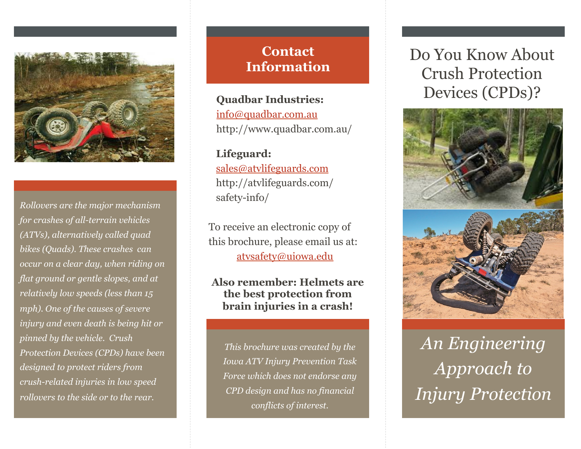

*Rollovers are the major mechanism for crashes of all-terrain vehicles (ATVs), alternatively called quad bikes (Quads). These crashes can occur on a clear day, when riding on flat ground or gentle slopes, and at relatively low speeds (less than 15 mph). One of the causes of severe injury and even death is being hit or pinned by the vehicle. Crush Protection Devices (CPDs) have been designed to protect riders from crush-related injuries in low speed rollovers to the side or to the rear.* 

# **Contact Information**

**Quadbar Industries:**  info@quadbar.com.au http://www.quadbar.com.au/

**Lifeguard:**  sales@atvlifeguards.com http://atvlifeguards.com/ safety-info/

To receive an electronic copy of this brochure, please email us at: atvsafety@uiowa.edu

### **Also remember: Helmets are the best protection from brain injuries in a crash!**

*This brochure was created by the Iowa ATV Injury Prevention Task Force which does not endorse any CPD design and has no financial conflicts of interest.* 

# Do You Know About Crush Protection Devices (CPDs)?



*An Engineering Approach to Injury Protection*